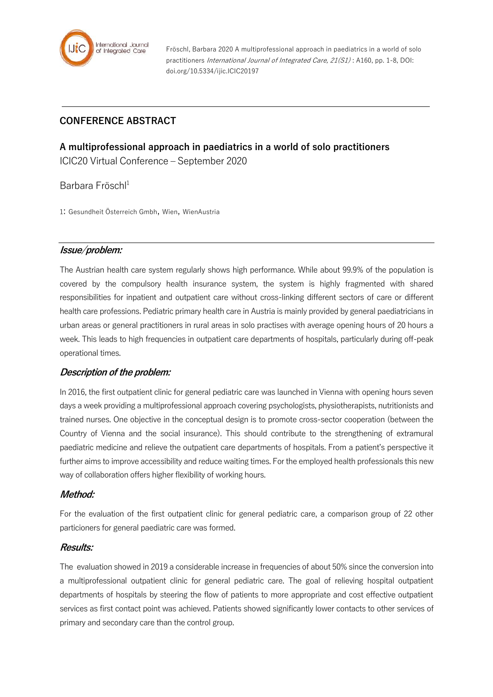

Fröschl, Barbara 2020 A multiprofessional approach in paediatrics in a world of solo practitioners International Journal of Integrated Care, 21(S1) : A160, pp. 1-8, DOI: doi.org/10.5334/ijic.ICIC20197

# **CONFERENCE ABSTRACT**

# **A multiprofessional approach in paediatrics in a world of solo practitioners** ICIC20 Virtual Conference – September 2020

Barbara Fröschl<sup>1</sup>

1: Gesundheit Österreich Gmbh, Wien, WienAustria

## **Issue/problem:**

The Austrian health care system regularly shows high performance. While about 99.9% of the population is covered by the compulsory health insurance system, the system is highly fragmented with shared responsibilities for inpatient and outpatient care without cross-linking different sectors of care or different health care professions. Pediatric primary health care in Austria is mainly provided by general paediatricians in urban areas or general practitioners in rural areas in solo practises with average opening hours of 20 hours a week. This leads to high frequencies in outpatient care departments of hospitals, particularly during off-peak operational times.

## **Description of the problem:**

In 2016, the first outpatient clinic for general pediatric care was launched in Vienna with opening hours seven days a week providing a multiprofessional approach covering psychologists, physiotherapists, nutritionists and trained nurses. One objective in the conceptual design is to promote cross-sector cooperation (between the Country of Vienna and the social insurance). This should contribute to the strengthening of extramural paediatric medicine and relieve the outpatient care departments of hospitals. From a patient's perspective it further aims to improve accessibility and reduce waiting times. For the employed health professionals this new way of collaboration offers higher flexibility of working hours.

## **Method:**

For the evaluation of the first outpatient clinic for general pediatric care, a comparison group of 22 other particioners for general paediatric care was formed.

#### **Results:**

The evaluation showed in 2019 a considerable increase in frequencies of about 50% since the conversion into a multiprofessional outpatient clinic for general pediatric care. The goal of relieving hospital outpatient departments of hospitals by steering the flow of patients to more appropriate and cost effective outpatient services as first contact point was achieved. Patients showed significantly lower contacts to other services of primary and secondary care than the control group.